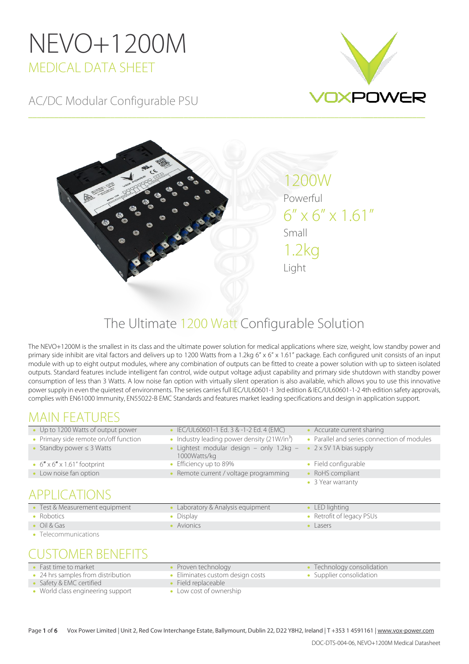# NEVO+1200M MEDICAL DATA SHEET

AC/DC Modular Configurable PSU





\_\_\_\_\_\_\_\_\_\_\_\_\_\_\_\_\_\_\_\_\_\_\_\_\_\_\_\_\_\_\_\_\_\_\_\_\_\_\_\_\_\_\_\_\_\_\_\_\_\_\_\_\_\_\_\_\_\_\_\_\_\_\_\_\_\_\_\_\_\_\_\_\_\_\_\_\_\_\_\_\_\_\_\_\_\_\_\_\_\_\_\_

## The Ultimate 1200 Watt Configurable Solution

The NEVO+1200M is the smallest in its class and the ultimate power solution for medical applications where size, weight, low standby power and primary side inhibit are vital factors and delivers up to 1200 Watts from a 1.2kg 6" x 6" x 1.61" package. Each configured unit consists of an input module with up to eight output modules, where any combination of outputs can be fitted to create a power solution with up to sixteen isolated outputs. Standard features include intelligent fan control, wide output voltage adjust capability and primary side shutdown with standby power consumption of less than 3 Watts. A low noise fan option with virtually silent operation is also available, which allows you to use this innovative power supply in even the quietest of environments. The series carries full IEC/UL60601-1 3rd edition & IEC/UL60601-1-2 4th edition safety approvals, complies with EN61000 Immunity, EN55022-B EMC Standards and features market leading specifications and design in application support.

## MAIN FEATURES<br>• Up to 1200 Watts of output power

- IEC/UL60601-1 Ed. 3 & -1-2 Ed. 4 (EMC) Accurate current sharing
- Primary side remote on/off function Industry leading power density (21W/in<sup>3</sup>) Parallel and series connection of modules • Standby power ≤ 3 Watts • Lightest modular design – only 1.2kg –
- 1000Watts/kg • 6" x 6" x 1.61" footprint • Efficiency up to 89% • Field configurable
- Low noise fan option **Remote current / voltage programming** RoHS compliant
- 2 x 5V 1A bias supply
- 
- -
	- 3 Year warranty

## APPLICATIONS

- Test & Measurement equipment Laboratory & Analysis equipment LED lighting • Robotics • Pisplay • Display • Display • Retrofit of legacy PSUs
- 
- Telecommunications

- 
- -
- Oil & Gas Avionics Avionics Avionics Avionics Avionics Lasers
- 

# USTOMER BENEFITS<br>Fast time to market

- 
- 24 hrs samples from distribution Eliminates custom design costs Supplier consolidation
- Technology Technology Technology consolidation
- Safety & EMC certified Field replaceable
- World class engineering support Low cost of ownership
- Page 1 of 6 Vox Power Limited | Unit 2, Red Cow Interchange Estate, Ballymount, Dublin 22, D22 Y8H2, Ireland | T +353 1 4591161 | [www.vox-power.com](http://www.vox-power.com/)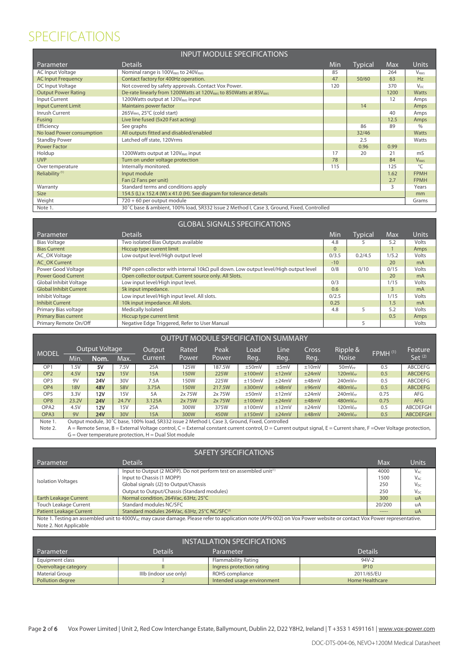### SPECIFICATIONS

| <b>INPUT MODULE SPECIFICATIONS</b> |                                                                                           |     |                |            |                          |  |  |  |  |  |
|------------------------------------|-------------------------------------------------------------------------------------------|-----|----------------|------------|--------------------------|--|--|--|--|--|
| Parameter                          | <b>Details</b>                                                                            | Min | <b>Typical</b> | <b>Max</b> | Units                    |  |  |  |  |  |
| <b>AC Input Voltage</b>            | Nominal range is 100V <sub>RMS</sub> to 240V <sub>RMS</sub>                               | 85  |                | 264        | V <sub>RMS</sub>         |  |  |  |  |  |
| <b>AC Input Frequency</b>          | Contact factory for 400Hz operation.                                                      | 47  | 50/60          | 63         | Hz                       |  |  |  |  |  |
| DC Input Voltage                   | Not covered by safety approvals. Contact Vox Power.                                       | 120 |                | 370        | $V_{DC}$                 |  |  |  |  |  |
| <b>Output Power Rating</b>         | De-rate linearly from 1200Watts at 120V <sub>RMS</sub> to 850Watts at 85VRMS              |     |                | 1200       | <b>Watts</b>             |  |  |  |  |  |
| Input Current                      | 1200 Watts output at 120 V <sub>RMS</sub> input                                           |     |                | 12         | Amps                     |  |  |  |  |  |
| <b>Input Current Limit</b>         | Maintains power factor                                                                    |     | 14             |            | Amps                     |  |  |  |  |  |
| Inrush Current                     | 265V <sub>RMS</sub> , 25°C (cold start)                                                   |     |                | 40         | Amps                     |  |  |  |  |  |
| Fusing                             | Live line fused (5x20 Fast acting)                                                        |     |                | 12.5       | Amps                     |  |  |  |  |  |
| Efficiency                         | See graphs                                                                                |     | 86             | 89         | $\%$                     |  |  |  |  |  |
| No load Power consumption          | All outputs fitted and disabled/enabled                                                   |     | 32/46          |            | <b>Watts</b>             |  |  |  |  |  |
| <b>Standby Power</b>               | Latched off state, 120Vrms                                                                |     | 2.5            |            | Watts                    |  |  |  |  |  |
| <b>Power Factor</b>                |                                                                                           |     | 0.96           | 0.99       |                          |  |  |  |  |  |
| Holdup                             | 1200 Watts output at 120 V <sub>RMS</sub> input                                           | 17  | 20             | 21         | mS                       |  |  |  |  |  |
| <b>UVP</b>                         | Turn on under voltage protection                                                          | 78  |                | 84         | V <sub>RMS</sub>         |  |  |  |  |  |
| Over temperature                   | Internally monitored.                                                                     | 115 |                | 125        | $\overline{\mathcal{C}}$ |  |  |  |  |  |
| Reliability <sup>(1)</sup>         | Input module                                                                              |     |                | 1.62       | <b>FPMH</b>              |  |  |  |  |  |
|                                    | Fan (2 Fans per unit)                                                                     |     |                | 2.7        | <b>FPMH</b>              |  |  |  |  |  |
| Warranty                           | Standard terms and conditions apply<br>3                                                  |     |                |            |                          |  |  |  |  |  |
| <b>Size</b>                        | 154.5 (L) x 152.4 (W) x 41.0 (H). See diagram for tolerance details<br>mm                 |     |                |            |                          |  |  |  |  |  |
| Weight                             | 720 + 60 per output module<br>Grams                                                       |     |                |            |                          |  |  |  |  |  |
| Note 1.                            | 30°C base & ambient, 100% load, SR332 Issue 2 Method I, Case 3, Ground, Fixed, Controlled |     |                |            |                          |  |  |  |  |  |

| <b>GLOBAL SIGNALS SPECIFICATIONS</b> |                                                                                             |          |         |                |                |  |  |  |  |
|--------------------------------------|---------------------------------------------------------------------------------------------|----------|---------|----------------|----------------|--|--|--|--|
| Parameter                            | <b>Details</b>                                                                              | Min      | Typical | Max            | <b>Units</b>   |  |  |  |  |
| <b>Bias Voltage</b>                  | Two isolated Bias Outputs available                                                         | 4.8      |         | 5.2            | Volts          |  |  |  |  |
| <b>Bias Current</b>                  | Hiccup type current limit                                                                   | $\Omega$ |         |                | Amps           |  |  |  |  |
| AC OK Voltage                        | Low output level/High output level                                                          | 0/3.5    | 0.2/4.5 | 1/5.2          | Volts          |  |  |  |  |
| <b>AC OK Current</b>                 |                                                                                             | $-10$    |         | 20             | m <sub>A</sub> |  |  |  |  |
| Power Good Voltage                   | PNP open collector with internal 10k $\Omega$ pull down. Low output level/High output level | 0/8      | 0/10    | 0/15           | Volts          |  |  |  |  |
| Power Good Current                   | Open collector output. Current source only. All Slots.                                      |          |         | 20             | m <sub>A</sub> |  |  |  |  |
| Global Inhibit Voltage               | Low input level/High input level.                                                           | 0/3      |         | 1/15           | Volts          |  |  |  |  |
| <b>Global Inhibit Current</b>        | 5k input impedance.                                                                         | 0.6      |         | $\overline{3}$ | m <sub>A</sub> |  |  |  |  |
| Inhibit Voltage                      | Low input level/High input level. All slots.                                                | 0/2.5    |         | 1/15           | Volts          |  |  |  |  |
| <b>Inhibit Current</b>               | 10k input impedance. All slots.                                                             | 0.25     |         | 1.5            | m <sub>A</sub> |  |  |  |  |
| Primary Bias voltage                 | Medically Isolated                                                                          | 4.8      |         | 5.2            | Volts          |  |  |  |  |
| <b>Primary Bias current</b>          | Hiccup type current limit                                                                   |          |         | 0.5            | Amps           |  |  |  |  |
| Primary Remote On/Off                | Negative Edge Triggered, Refer to User Manual                                               |          | 5       |                | Volts          |  |  |  |  |

| <b>OUTPUT MODULE SPECIFICATION SUMMARY</b> |                                                                                                |            |       |         |             |                       |        |       |       |                     |       |                 |      |      |       |          |                     |         |
|--------------------------------------------|------------------------------------------------------------------------------------------------|------------|-------|---------|-------------|-----------------------|--------|-------|-------|---------------------|-------|-----------------|------|------|-------|----------|---------------------|---------|
| <b>MODEL</b>                               |                                                                                                |            |       |         |             | <b>Output Voltage</b> |        |       |       | Output              | Rated | Peak            | Load | Line | Cross | Ripple & | FPMH <sup>(1)</sup> | Feature |
|                                            | Min.                                                                                           | Nom.       | Max.  | Current | Power       | Power                 | Reg.   | Reg.  | Reg.  | <b>Noise</b>        |       | Set $(2)$       |      |      |       |          |                     |         |
| OP <sub>1</sub>                            | .5V                                                                                            | 5V         | 7.5V  | 25A     | 125W        | 187.5W                | ±50mV  | ±5mV  | ±10mV | 50mV <sub>PP</sub>  | 0.5   | <b>ABCDEFG</b>  |      |      |       |          |                     |         |
| OP <sub>2</sub>                            | 4.5V                                                                                           | 12V        | 15V   | 15A     | <b>150W</b> | 225W                  | ±100mV | ±12mV | ±24mV | 120mV <sub>PP</sub> | 0.5   | <b>ABCDEFG</b>  |      |      |       |          |                     |         |
| OP <sub>3</sub>                            | 9V                                                                                             | <b>24V</b> | 30V   | 7.5A    | 150W        | 225W                  | ±150mV | ±24mV | ±48mV | $240mV_{PP}$        | 0.5   | <b>ABCDEFG</b>  |      |      |       |          |                     |         |
| OP <sub>4</sub>                            | <b>18V</b>                                                                                     | <b>48V</b> | 58V   | 3.75A   | <b>150W</b> | 217.5W                | ±300mV | ±48mV | ±96mV | $480mV_{PP}$        | 0.5   | <b>ABCDEFG</b>  |      |      |       |          |                     |         |
| OP <sub>5</sub>                            | 3.3V                                                                                           | 12V        | 15V   | 5A      | 2x 75W      | 2x75W                 | ±50mV  | ±12mV | ±24mV | $240mV_{PP}$        | 0.75  | AFG             |      |      |       |          |                     |         |
| OP <sub>8</sub>                            | 23.2V                                                                                          | <b>24V</b> | 24.7V | 3.125A  | 2x 75W      | 2x 75W                | ±100mV | ±24mV | ±48mV | $480mV_{PP}$        | 0.75  | AFG             |      |      |       |          |                     |         |
| OPA <sub>2</sub>                           | 4.5V                                                                                           | 12V        | 15V   | 25A     | 300W        | 375W                  | ±100mV | ±12mV | ±24mV | 120mV <sub>PP</sub> | 0.5   | <b>ABCDEFGH</b> |      |      |       |          |                     |         |
| OPA3                                       | 9V                                                                                             | <b>24V</b> | 30V   | 15A     | 300W        | 450W                  | ±150mV | ±24mV | ±48mV | 240mV <sub>PP</sub> | 0.5   | <b>ABCDEFGH</b> |      |      |       |          |                     |         |
| Note 1.                                    | Output module, 30°C base, 100% load, SR332 issue 2 Method I, Case 3, Ground, Fixed, Controlled |            |       |         |             |                       |        |       |       |                     |       |                 |      |      |       |          |                     |         |

Note 2. A = Remote Sense, B = External Voltage control, C = External constant current control, D = Current output signal, E = Current share, F =Over Voltage protection, G = Over temperature protection, H = Dual Slot module

| <b>SAFETY SPECIFICATIONS</b>                                                                                                                                                    |                                                                                |        |                 |  |  |  |  |  |  |
|---------------------------------------------------------------------------------------------------------------------------------------------------------------------------------|--------------------------------------------------------------------------------|--------|-----------------|--|--|--|--|--|--|
| Parameter                                                                                                                                                                       | <b>Details</b>                                                                 | Max    | Units           |  |  |  |  |  |  |
|                                                                                                                                                                                 | Input to Output (2 MOPP). Do not perform test on assembled unit <sup>(1)</sup> | 4000   | $V_{AC}$        |  |  |  |  |  |  |
| <b>Isolation Voltages</b>                                                                                                                                                       | Input to Chassis (1 MOPP)                                                      | 1500   | $V_{AC}$        |  |  |  |  |  |  |
|                                                                                                                                                                                 | Global signals (J2) to Output/Chassis                                          | 250    | $V_{\text{DC}}$ |  |  |  |  |  |  |
|                                                                                                                                                                                 | Output to Output/Chassis (Standard modules)                                    | 250    | $V_{DC}$        |  |  |  |  |  |  |
| <b>Earth Leakage Current</b>                                                                                                                                                    | Normal condition, 264Vac, 63Hz, 25°C                                           | 300    | $U$ A           |  |  |  |  |  |  |
| <b>Touch Leakage Current</b>                                                                                                                                                    | Standard modules NC/SFC                                                        | 20/200 | uA              |  |  |  |  |  |  |
| <b>Patient Leakage Current</b>                                                                                                                                                  | Standard modules 264Vac, 63Hz, 25°C NC/SFC <sup>(2)</sup>                      | -----  | <b>uA</b>       |  |  |  |  |  |  |
| Note 1. Testing an assembled unit to 4000V <sub>AC</sub> may cause damage. Please refer to application note (APN-002) on Vox Power website or contact Vox Power representative. |                                                                                |        |                 |  |  |  |  |  |  |
| Note 2. Not Applicable                                                                                                                                                          |                                                                                |        |                 |  |  |  |  |  |  |

| <b>INSTALLATION SPECIFICATIONS</b>                         |                        |                            |                        |  |  |  |  |  |  |  |  |
|------------------------------------------------------------|------------------------|----------------------------|------------------------|--|--|--|--|--|--|--|--|
| <b>Details</b><br><b>Details</b><br>Parameter<br>Parameter |                        |                            |                        |  |  |  |  |  |  |  |  |
| Equipment class                                            |                        | Flammability Rating        | $94V-2$                |  |  |  |  |  |  |  |  |
| Overvoltage category                                       |                        | Ingress protection rating  | IP10                   |  |  |  |  |  |  |  |  |
| Material Group                                             | IIIb (indoor use only) | ROHS compliance            | 2011/65/EU             |  |  |  |  |  |  |  |  |
| Pollution degree                                           |                        | Intended usage environment | <b>Home Healthcare</b> |  |  |  |  |  |  |  |  |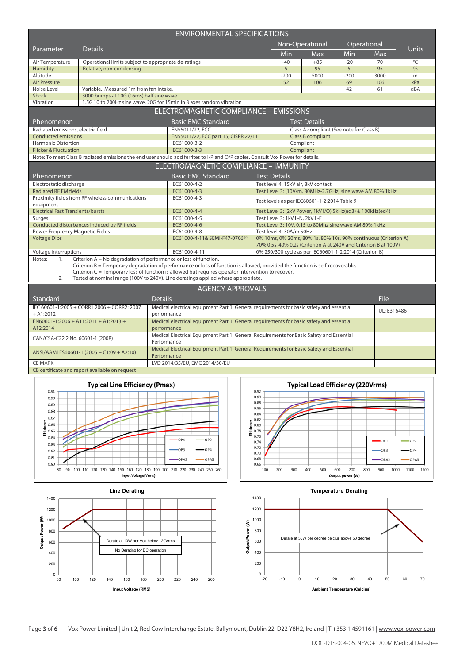| <b>ENVIRONMENTAL SPECIFICATIONS</b>                                                      |                                                                  |                                                                                                         |                                                                                                                                                                                         |                                                                                                                                     |                     |                                          |        |              |               |  |  |
|------------------------------------------------------------------------------------------|------------------------------------------------------------------|---------------------------------------------------------------------------------------------------------|-----------------------------------------------------------------------------------------------------------------------------------------------------------------------------------------|-------------------------------------------------------------------------------------------------------------------------------------|---------------------|------------------------------------------|--------|--------------|---------------|--|--|
|                                                                                          |                                                                  |                                                                                                         |                                                                                                                                                                                         |                                                                                                                                     |                     | Non-Operational                          |        | Operational  |               |  |  |
| Parameter                                                                                | <b>Details</b>                                                   |                                                                                                         |                                                                                                                                                                                         | Min                                                                                                                                 | Max                 | Min                                      | Max    | <b>Units</b> |               |  |  |
| Air Temperature                                                                          | Operational limits subject to appropriate de-ratings             |                                                                                                         |                                                                                                                                                                                         |                                                                                                                                     | $-40$               | $+85$                                    | $-20$  | 70           | $^{\circ}$ C  |  |  |
| <b>Humidity</b>                                                                          | Relative, non-condensing                                         |                                                                                                         |                                                                                                                                                                                         |                                                                                                                                     | 5                   | 95                                       | 5      | 95           | $\frac{0}{6}$ |  |  |
| Altitude                                                                                 |                                                                  |                                                                                                         |                                                                                                                                                                                         |                                                                                                                                     | $-200$              | 5000                                     | $-200$ | 3000         | m             |  |  |
| <b>Air Pressure</b>                                                                      |                                                                  |                                                                                                         |                                                                                                                                                                                         |                                                                                                                                     | 52                  | 106                                      | 69     | 106          | kPa           |  |  |
| Noise Level                                                                              | Variable. Measured 1m from fan intake.                           |                                                                                                         |                                                                                                                                                                                         |                                                                                                                                     |                     | ÷.                                       | 42     | 61           | dBA           |  |  |
| <b>Shock</b>                                                                             | 3000 bumps at 10G (16ms) half sine wave                          |                                                                                                         |                                                                                                                                                                                         |                                                                                                                                     |                     |                                          |        |              |               |  |  |
| Vibration                                                                                |                                                                  |                                                                                                         | 1.5G 10 to 200Hz sine wave, 20G for 15min in 3 axes random vibration                                                                                                                    |                                                                                                                                     |                     |                                          |        |              |               |  |  |
|                                                                                          |                                                                  |                                                                                                         | ELECTROMAGNETIC COMPLIANCE - EMISSIONS                                                                                                                                                  |                                                                                                                                     |                     |                                          |        |              |               |  |  |
| Phenomenon                                                                               |                                                                  |                                                                                                         | <b>Basic EMC Standard</b>                                                                                                                                                               |                                                                                                                                     |                     | <b>Test Details</b>                      |        |              |               |  |  |
| Radiated emissions, electric field                                                       |                                                                  |                                                                                                         | EN55011/22, FCC                                                                                                                                                                         |                                                                                                                                     |                     | Class A compliant (See note for Class B) |        |              |               |  |  |
| <b>Conducted emissions</b>                                                               |                                                                  |                                                                                                         | EN55011/22, FCC part 15, CISPR 22/11                                                                                                                                                    |                                                                                                                                     |                     | <b>Class B compliant</b>                 |        |              |               |  |  |
| <b>Harmonic Distortion</b>                                                               |                                                                  |                                                                                                         | IEC61000-3-2                                                                                                                                                                            |                                                                                                                                     |                     | Compliant                                |        |              |               |  |  |
| <b>Flicker &amp; Fluctuation</b>                                                         |                                                                  |                                                                                                         | IEC61000-3-3                                                                                                                                                                            |                                                                                                                                     |                     | Compliant                                |        |              |               |  |  |
|                                                                                          |                                                                  |                                                                                                         | Note: To meet Class B radiated emissions the end user should add ferrites to I/P and O/P cables. Consult Vox Power for details.                                                         |                                                                                                                                     |                     |                                          |        |              |               |  |  |
|                                                                                          |                                                                  |                                                                                                         | ELECTROMAGNETIC COMPLIANCE - IMMUNITY                                                                                                                                                   |                                                                                                                                     |                     |                                          |        |              |               |  |  |
| Phenomenon                                                                               |                                                                  |                                                                                                         | <b>Basic EMC Standard</b>                                                                                                                                                               |                                                                                                                                     | <b>Test Details</b> |                                          |        |              |               |  |  |
| IEC61000-4-2<br>Electrostatic discharge                                                  |                                                                  |                                                                                                         |                                                                                                                                                                                         |                                                                                                                                     |                     | Test level 4: 15kV air, 8kV contact      |        |              |               |  |  |
| <b>Radiated RF EM fields</b><br>IEC61000-4-3                                             |                                                                  |                                                                                                         |                                                                                                                                                                                         | Test Level 3: (10V/m, 80MHz-2.7GHz) sine wave AM 80% 1kHz                                                                           |                     |                                          |        |              |               |  |  |
| equipment                                                                                | Proximity fields from RF wireless communications                 |                                                                                                         | IEC61000-4-3                                                                                                                                                                            | Test levels as per IEC60601-1-2:2014 Table 9                                                                                        |                     |                                          |        |              |               |  |  |
| <b>Electrical Fast Transients/bursts</b>                                                 |                                                                  |                                                                                                         | IEC61000-4-4                                                                                                                                                                            | Test Level 3: (2kV Power, 1kV I/O) 5kHz(ed3) & 100kHz(ed4)                                                                          |                     |                                          |        |              |               |  |  |
| Surges                                                                                   |                                                                  |                                                                                                         | IEC61000-4-5                                                                                                                                                                            |                                                                                                                                     |                     |                                          |        |              |               |  |  |
|                                                                                          | Conducted disturbances induced by RF fields                      |                                                                                                         | IEC61000-4-6                                                                                                                                                                            | Test Level 3: 1kV L-N, 2kV L-E<br>Test Level 3: 10V, 0.15 to 80Mhz sine wave AM 80% 1kHz                                            |                     |                                          |        |              |               |  |  |
| Power Frequency Magnetic Fields                                                          |                                                                  |                                                                                                         | IEC61000-4-8                                                                                                                                                                            | Test level 4: 30A/m 50Hz                                                                                                            |                     |                                          |        |              |               |  |  |
| <b>Voltage Dips</b>                                                                      |                                                                  |                                                                                                         | IEC61000-4-11& SEMI-F47-0706 <sup>(2)</sup>                                                                                                                                             |                                                                                                                                     |                     |                                          |        |              |               |  |  |
|                                                                                          |                                                                  |                                                                                                         |                                                                                                                                                                                         | 0% 10ms, 0% 20ms, 80% 1s, 80% 10s, 90% continuous (Criterion A)<br>70% 0.5s, 40% 0.2s (Criterion A at 240V and Criterion B at 100V) |                     |                                          |        |              |               |  |  |
| Voltage interruptions                                                                    |                                                                  |                                                                                                         | IEC61000-4-11                                                                                                                                                                           | 0% 250/300 cycle as per IEC60601-1-2:2014 (Criterion B)                                                                             |                     |                                          |        |              |               |  |  |
| Notes:<br>1.                                                                             | Criterion A = No degradation of performance or loss of function. |                                                                                                         | Criterion B = Temporary degradation of performance or loss of function is allowed, provided the function is self-recoverable.                                                           |                                                                                                                                     |                     |                                          |        |              |               |  |  |
| 2.                                                                                       |                                                                  |                                                                                                         | Criterion C = Temporary loss of function is allowed but requires operator intervention to recover.<br>Tested at nominal range (100V to 240V). Line deratings applied where appropriate. |                                                                                                                                     |                     |                                          |        |              |               |  |  |
|                                                                                          |                                                                  |                                                                                                         | <b>AGENCY APPROVALS</b>                                                                                                                                                                 |                                                                                                                                     |                     |                                          |        |              |               |  |  |
| <b>Details</b><br>Standard                                                               |                                                                  |                                                                                                         |                                                                                                                                                                                         |                                                                                                                                     |                     |                                          |        | File         |               |  |  |
|                                                                                          | IEC 60601-1:2005 + CORR1 2006 + CORR2: 2007                      | Medical electrical equipment Part 1: General requirements for basic safety and essential                |                                                                                                                                                                                         |                                                                                                                                     |                     |                                          |        |              |               |  |  |
| $+ A1:2012$                                                                              |                                                                  | performance                                                                                             |                                                                                                                                                                                         | UL: E316486                                                                                                                         |                     |                                          |        |              |               |  |  |
| A12:2014                                                                                 | $EN60601-1:2006 + A11:2011 + A1:2013 +$                          | Medical electrical equipment Part 1: General requirements for basic safety and essential<br>performance |                                                                                                                                                                                         |                                                                                                                                     |                     |                                          |        |              |               |  |  |
|                                                                                          |                                                                  |                                                                                                         | Medical Electrical Equipment Part 1: General Requirements for Basic Safety and Essential                                                                                                |                                                                                                                                     |                     |                                          |        |              |               |  |  |
| CAN/CSA-C22.2 No. 60601-1 (2008)                                                         |                                                                  | Performance                                                                                             |                                                                                                                                                                                         |                                                                                                                                     |                     |                                          |        |              |               |  |  |
| Medical Electrical Equipment Part 1: General Requirements for Basic Safety and Essential |                                                                  |                                                                                                         |                                                                                                                                                                                         |                                                                                                                                     |                     |                                          |        |              |               |  |  |









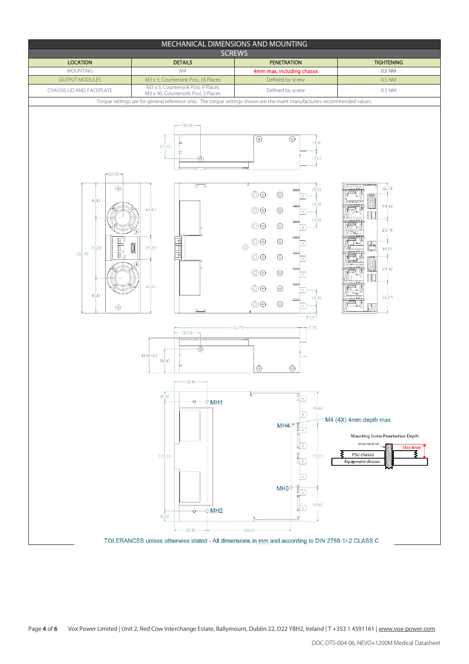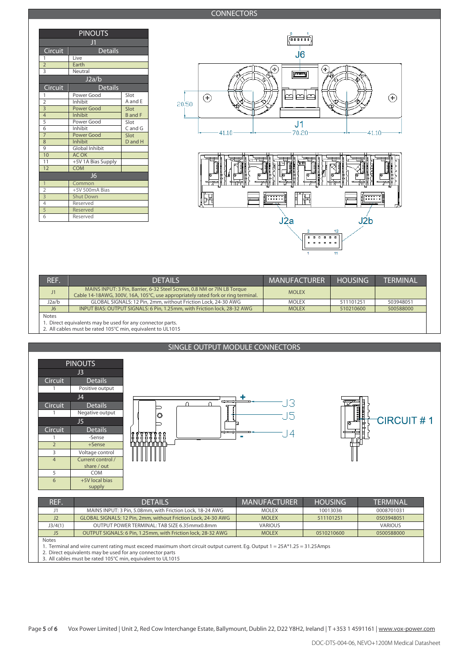### **CONNECTORS**

| <b>PINOUTS</b>            |                       |                |  |  |  |  |  |  |  |  |
|---------------------------|-----------------------|----------------|--|--|--|--|--|--|--|--|
| J <sub>1</sub>            |                       |                |  |  |  |  |  |  |  |  |
| Circuit                   | <b>Details</b>        |                |  |  |  |  |  |  |  |  |
| 1                         | Live                  |                |  |  |  |  |  |  |  |  |
| $\overline{2}$            | Earth                 |                |  |  |  |  |  |  |  |  |
| $\overline{3}$            | Neutral               |                |  |  |  |  |  |  |  |  |
| J2a/b                     |                       |                |  |  |  |  |  |  |  |  |
| Circuit<br><b>Details</b> |                       |                |  |  |  |  |  |  |  |  |
| 1                         | Power Good            | Slot           |  |  |  |  |  |  |  |  |
| $\overline{2}$            | Inhibit               | A and E        |  |  |  |  |  |  |  |  |
| $\overline{3}$            | <b>Power Good</b>     | Slot           |  |  |  |  |  |  |  |  |
| $\overline{4}$            | <b>Inhibit</b>        | <b>B</b> and F |  |  |  |  |  |  |  |  |
| 5                         | Power Good            | Slot           |  |  |  |  |  |  |  |  |
| 6                         | Inhibit               | $C$ and $G$    |  |  |  |  |  |  |  |  |
| $\overline{7}$            | Power Good            | Slot           |  |  |  |  |  |  |  |  |
| 8                         | Inhibit               | D and H        |  |  |  |  |  |  |  |  |
| 9                         | <b>Global Inhibit</b> |                |  |  |  |  |  |  |  |  |
| 10                        | <b>AC OK</b>          |                |  |  |  |  |  |  |  |  |
| 11                        | +5V 1A Bias Supply    |                |  |  |  |  |  |  |  |  |
| 12                        | <b>COM</b>            |                |  |  |  |  |  |  |  |  |
|                           | J <sub>6</sub>        |                |  |  |  |  |  |  |  |  |
| 1                         | Common                |                |  |  |  |  |  |  |  |  |
| $\overline{2}$            | +5V 500mA Bias        |                |  |  |  |  |  |  |  |  |
| $\overline{3}$            | <b>Shut Down</b>      |                |  |  |  |  |  |  |  |  |
| 4                         | Reserved              |                |  |  |  |  |  |  |  |  |
| 5                         | Reserved              |                |  |  |  |  |  |  |  |  |
| 6                         | Reserved              |                |  |  |  |  |  |  |  |  |



| REF.         | <b>DETAILS</b>                                                                                                                                              | <b>MANUFACTURER</b> | <b>HOUSING</b> | <b>TFRMINAL</b> |  |  |  |  |  |  |  |  |
|--------------|-------------------------------------------------------------------------------------------------------------------------------------------------------------|---------------------|----------------|-----------------|--|--|--|--|--|--|--|--|
|              | MAINS INPUT: 3 Pin, Barrier, 6-32 Steel Screws, 0.8 NM or 7IN LB Torque<br>Cable 14-18AWG, 300V, 16A, 105°C, use appropriately rated fork or ring terminal. | <b>MOLEX</b>        |                |                 |  |  |  |  |  |  |  |  |
| J2a/b        | GLOBAL SIGNALS: 12 Pin, 2mm, without Friction Lock, 24-30 AWG                                                                                               | <b>MOLEX</b>        | 511101251      | 503948051       |  |  |  |  |  |  |  |  |
| J6           | INPUT BIAS: OUTPUT SIGNALS: 6 Pin, 1.25mm, with Friction lock, 28-32 AWG                                                                                    | <b>MOLEX</b>        | 510210600      | 500588000       |  |  |  |  |  |  |  |  |
| <b>Notes</b> | Direct equivalents may be used for any connector parts.                                                                                                     |                     |                |                 |  |  |  |  |  |  |  |  |

1. Direct equivalents may be used for any connector parts. 2. All cables must be rated 105°C min, equivalent to UL1015

### SINGLE OUTPUT MODULE CONNECTORS



1. Terminal and wire current rating must exceed maximum short circuit output current. Eg. Output 1 = 25A\*1.25 = 31.25Amps

2. Direct equivalents may be used for any connector parts 3. All cables must be rated 105°C min, equivalent to UL1015